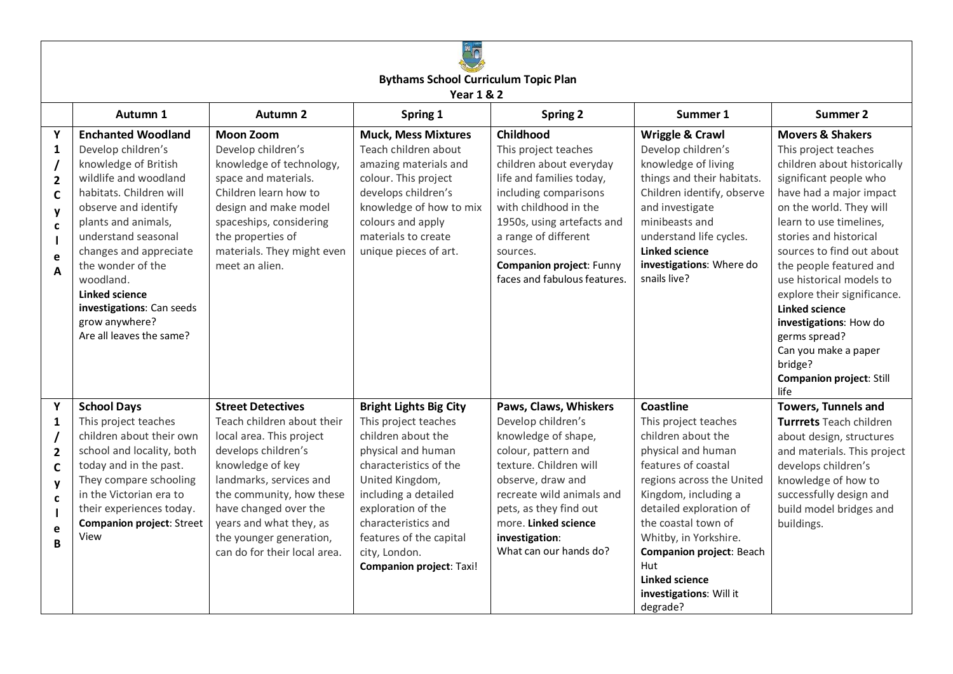

**Bythams School Curriculum Topic Plan**

**Year 1 & 2**

|                                                                                             | 1 C A I J O L                                                                                                                                                                                                                                                                                                                                                     |                                                                                                                                                                                                                                                                                                     |                                                                                                                                                                                                                                                                                                    |                                                                                                                                                                                                                                                                          |                                                                                                                                                                                                                                                                                                                                         |                                                                                                                                                                                                                                                                                                                                                                                                                                                                                              |  |  |  |
|---------------------------------------------------------------------------------------------|-------------------------------------------------------------------------------------------------------------------------------------------------------------------------------------------------------------------------------------------------------------------------------------------------------------------------------------------------------------------|-----------------------------------------------------------------------------------------------------------------------------------------------------------------------------------------------------------------------------------------------------------------------------------------------------|----------------------------------------------------------------------------------------------------------------------------------------------------------------------------------------------------------------------------------------------------------------------------------------------------|--------------------------------------------------------------------------------------------------------------------------------------------------------------------------------------------------------------------------------------------------------------------------|-----------------------------------------------------------------------------------------------------------------------------------------------------------------------------------------------------------------------------------------------------------------------------------------------------------------------------------------|----------------------------------------------------------------------------------------------------------------------------------------------------------------------------------------------------------------------------------------------------------------------------------------------------------------------------------------------------------------------------------------------------------------------------------------------------------------------------------------------|--|--|--|
|                                                                                             | Autumn 1                                                                                                                                                                                                                                                                                                                                                          | <b>Autumn 2</b>                                                                                                                                                                                                                                                                                     | Spring 1                                                                                                                                                                                                                                                                                           | <b>Spring 2</b>                                                                                                                                                                                                                                                          | Summer 1                                                                                                                                                                                                                                                                                                                                | <b>Summer 2</b>                                                                                                                                                                                                                                                                                                                                                                                                                                                                              |  |  |  |
| Y<br>1<br>$\overline{\mathbf{2}}$<br>$\mathsf{C}$<br>y<br>C<br>e<br>$\overline{\mathsf{A}}$ | <b>Enchanted Woodland</b><br>Develop children's<br>knowledge of British<br>wildlife and woodland<br>habitats. Children will<br>observe and identify<br>plants and animals,<br>understand seasonal<br>changes and appreciate<br>the wonder of the<br>woodland.<br><b>Linked science</b><br>investigations: Can seeds<br>grow anywhere?<br>Are all leaves the same? | <b>Moon Zoom</b><br>Develop children's<br>knowledge of technology,<br>space and materials.<br>Children learn how to<br>design and make model<br>spaceships, considering<br>the properties of<br>materials. They might even<br>meet an alien.                                                        | <b>Muck, Mess Mixtures</b><br>Teach children about<br>amazing materials and<br>colour. This project<br>develops children's<br>knowledge of how to mix<br>colours and apply<br>materials to create<br>unique pieces of art.                                                                         | Childhood<br>This project teaches<br>children about everyday<br>life and families today,<br>including comparisons<br>with childhood in the<br>1950s, using artefacts and<br>a range of different<br>sources.<br>Companion project: Funny<br>faces and fabulous features. | Wriggle & Crawl<br>Develop children's<br>knowledge of living<br>things and their habitats.<br>Children identify, observe<br>and investigate<br>minibeasts and<br>understand life cycles.<br><b>Linked science</b><br>investigations: Where do<br>snails live?                                                                           | <b>Movers &amp; Shakers</b><br>This project teaches<br>children about historically<br>significant people who<br>have had a major impact<br>on the world. They will<br>learn to use timelines,<br>stories and historical<br>sources to find out about<br>the people featured and<br>use historical models to<br>explore their significance.<br><b>Linked science</b><br>investigations: How do<br>germs spread?<br>Can you make a paper<br>bridge?<br><b>Companion project: Still</b><br>life |  |  |  |
| Υ<br>1<br>$\overline{\mathbf{2}}$<br>$\mathsf{C}$<br>y<br>C<br>e<br>B                       | <b>School Days</b><br>This project teaches<br>children about their own<br>school and locality, both<br>today and in the past.<br>They compare schooling<br>in the Victorian era to<br>their experiences today.<br>Companion project: Street<br>View                                                                                                               | <b>Street Detectives</b><br>Teach children about their<br>local area. This project<br>develops children's<br>knowledge of key<br>landmarks, services and<br>the community, how these<br>have changed over the<br>years and what they, as<br>the younger generation,<br>can do for their local area. | <b>Bright Lights Big City</b><br>This project teaches<br>children about the<br>physical and human<br>characteristics of the<br>United Kingdom,<br>including a detailed<br>exploration of the<br>characteristics and<br>features of the capital<br>city, London.<br><b>Companion project: Taxi!</b> | Paws, Claws, Whiskers<br>Develop children's<br>knowledge of shape,<br>colour, pattern and<br>texture. Children will<br>observe, draw and<br>recreate wild animals and<br>pets, as they find out<br>more. Linked science<br>investigation:<br>What can our hands do?      | Coastline<br>This project teaches<br>children about the<br>physical and human<br>features of coastal<br>regions across the United<br>Kingdom, including a<br>detailed exploration of<br>the coastal town of<br>Whitby, in Yorkshire.<br>Companion project: Beach<br>Hut<br><b>Linked science</b><br>investigations: Will it<br>degrade? | <b>Towers, Tunnels and</b><br>Turrrets Teach children<br>about design, structures<br>and materials. This project<br>develops children's<br>knowledge of how to<br>successfully design and<br>build model bridges and<br>buildings.                                                                                                                                                                                                                                                           |  |  |  |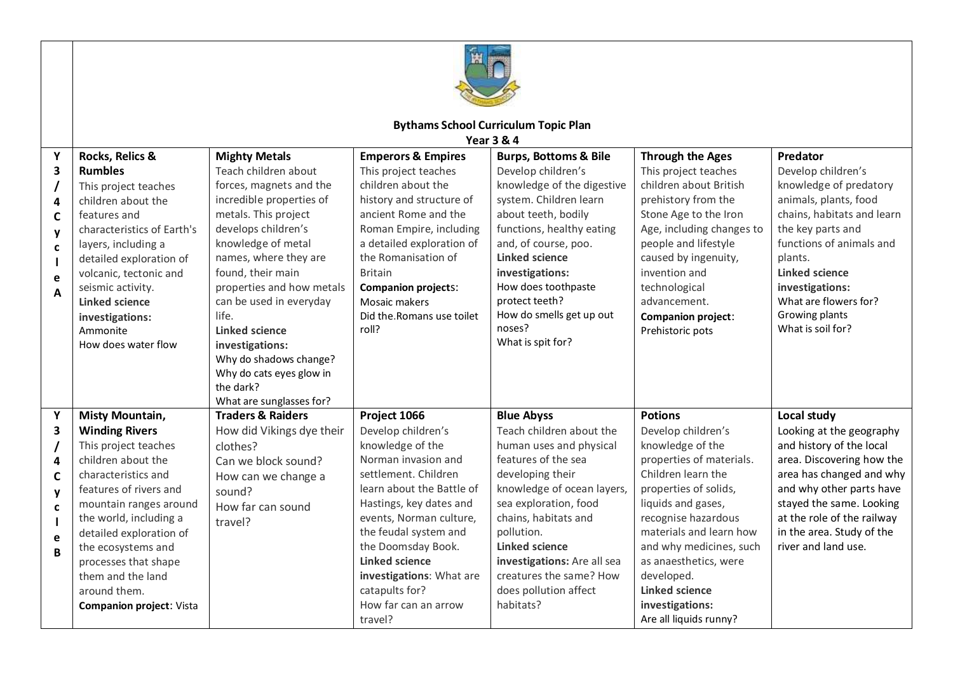

## **Bythams School Curriculum Topic Plan**

**Year 3 & 4**

| Υ           | Rocks, Relics &                           | <b>Mighty Metals</b>         | <b>Emperors &amp; Empires</b> | <b>Burps, Bottoms &amp; Bile</b> | <b>Through the Ages</b>   | Predator                   |
|-------------|-------------------------------------------|------------------------------|-------------------------------|----------------------------------|---------------------------|----------------------------|
| 3           | <b>Rumbles</b>                            | Teach children about         | This project teaches          | Develop children's               | This project teaches      | Develop children's         |
|             | This project teaches                      | forces, magnets and the      | children about the            | knowledge of the digestive       | children about British    | knowledge of predatory     |
| 4           | children about the                        | incredible properties of     | history and structure of      | system. Children learn           | prehistory from the       | animals, plants, food      |
| C           | features and                              | metals. This project         | ancient Rome and the          | about teeth, bodily              | Stone Age to the Iron     | chains, habitats and learn |
| y           | characteristics of Earth's                | develops children's          | Roman Empire, including       | functions, healthy eating        | Age, including changes to | the key parts and          |
| $\mathbf c$ | layers, including a                       | knowledge of metal           | a detailed exploration of     | and, of course, poo.             | people and lifestyle      | functions of animals and   |
|             | detailed exploration of                   | names, where they are        | the Romanisation of           | <b>Linked science</b>            | caused by ingenuity,      | plants.                    |
| e           | volcanic, tectonic and                    | found, their main            | <b>Britain</b>                | investigations:                  | invention and             | <b>Linked science</b>      |
| A           | seismic activity.                         | properties and how metals    | <b>Companion projects:</b>    | How does toothpaste              | technological             | investigations:            |
|             | Linked science                            | can be used in everyday      | Mosaic makers                 | protect teeth?                   | advancement.              | What are flowers for?      |
|             | investigations:                           | life.                        | Did the.Romans use toilet     | How do smells get up out         | <b>Companion project:</b> | Growing plants             |
|             | Ammonite                                  | <b>Linked science</b>        | roll?                         | noses?                           | Prehistoric pots          | What is soil for?          |
|             | How does water flow                       | investigations:              |                               | What is spit for?                |                           |                            |
|             |                                           | Why do shadows change?       |                               |                                  |                           |                            |
|             |                                           | Why do cats eyes glow in     |                               |                                  |                           |                            |
|             |                                           | the dark?                    |                               |                                  |                           |                            |
|             |                                           | What are sunglasses for?     |                               |                                  |                           |                            |
| Y           | Misty Mountain,                           | <b>Traders &amp; Raiders</b> | Project 1066                  | <b>Blue Abyss</b>                | <b>Potions</b>            | Local study                |
| 3           | <b>Winding Rivers</b>                     | How did Vikings dye their    | Develop children's            | Teach children about the         | Develop children's        | Looking at the geography   |
|             | This project teaches                      | clothes?                     | knowledge of the              | human uses and physical          | knowledge of the          | and history of the local   |
| 4           | children about the<br>Can we block sound? |                              | Norman invasion and           | features of the sea              | properties of materials.  | area. Discovering how the  |
| C           | characteristics and                       | How can we change a          | settlement. Children          | developing their                 | Children learn the        | area has changed and why   |
| y           | features of rivers and                    | sound?                       | learn about the Battle of     | knowledge of ocean layers,       | properties of solids,     | and why other parts have   |
| C           | mountain ranges around                    | How far can sound            | Hastings, key dates and       | sea exploration, food            | liquids and gases,        | stayed the same. Looking   |
|             | the world, including a                    | travel?                      | events, Norman culture,       | chains, habitats and             | recognise hazardous       | at the role of the railway |
| e           | detailed exploration of                   |                              | the feudal system and         | pollution.                       | materials and learn how   | in the area. Study of the  |
| B           | the ecosystems and                        |                              | the Doomsday Book.            | <b>Linked science</b>            | and why medicines, such   | river and land use.        |
|             | processes that shape                      |                              | <b>Linked science</b>         | investigations: Are all sea      | as anaesthetics, were     |                            |
|             | them and the land                         |                              | investigations: What are      | creatures the same? How          | developed.                |                            |
|             | around them.                              |                              | catapults for?                | does pollution affect            | <b>Linked science</b>     |                            |
|             | <b>Companion project: Vista</b>           |                              | How far can an arrow          | habitats?                        | investigations:           |                            |
|             |                                           |                              | travel?                       |                                  | Are all liquids runny?    |                            |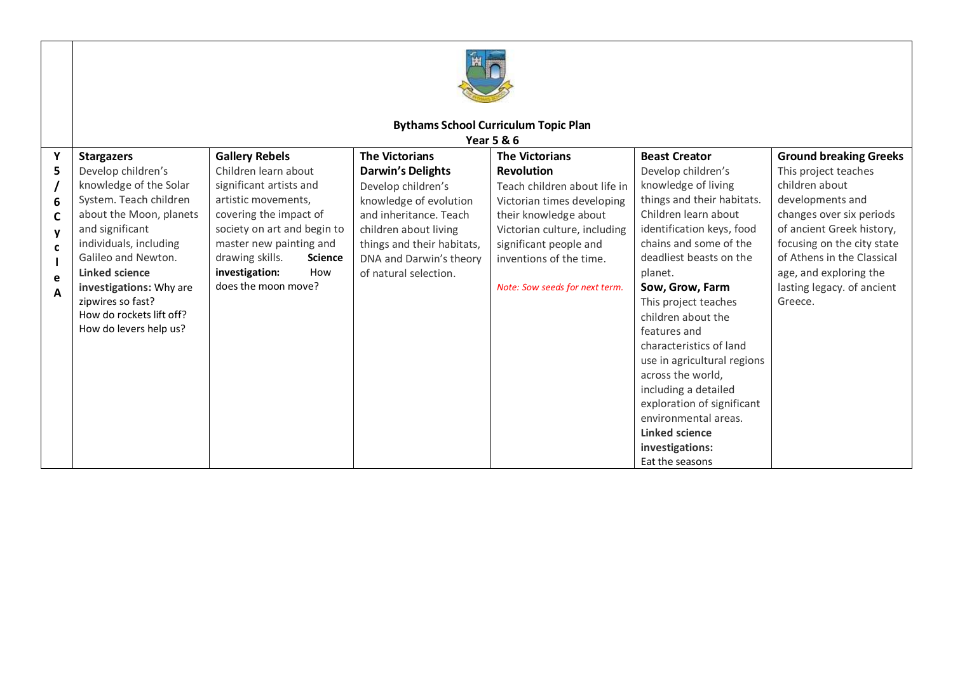

## **Bythams School Curriculum Topic Plan**

**Year 5 & 6**

|    | 1 C ali J O L O          |                             |                |                            |                                |                             |                               |  |
|----|--------------------------|-----------------------------|----------------|----------------------------|--------------------------------|-----------------------------|-------------------------------|--|
| Y  | <b>Stargazers</b>        | <b>Gallery Rebels</b>       |                | <b>The Victorians</b>      | <b>The Victorians</b>          | <b>Beast Creator</b>        | <b>Ground breaking Greeks</b> |  |
| 5. | Develop children's       | Children learn about        |                | <b>Darwin's Delights</b>   | <b>Revolution</b>              | Develop children's          | This project teaches          |  |
|    | knowledge of the Solar   | significant artists and     |                | Develop children's         | Teach children about life in   | knowledge of living         | children about                |  |
| 6  | System. Teach children   | artistic movements,         |                | knowledge of evolution     | Victorian times developing     | things and their habitats.  | developments and              |  |
| C  | about the Moon, planets  | covering the impact of      |                | and inheritance. Teach     | their knowledge about          | Children learn about        | changes over six periods      |  |
| y  | and significant          | society on art and begin to |                | children about living      | Victorian culture, including   | identification keys, food   | of ancient Greek history,     |  |
| C  | individuals, including   | master new painting and     |                | things and their habitats, | significant people and         | chains and some of the      | focusing on the city state    |  |
|    | Galileo and Newton.      | drawing skills.             | <b>Science</b> | DNA and Darwin's theory    | inventions of the time.        | deadliest beasts on the     | of Athens in the Classical    |  |
| e  | Linked science           | investigation:              | How            | of natural selection.      |                                | planet.                     | age, and exploring the        |  |
| A  | investigations: Why are  | does the moon move?         |                |                            | Note: Sow seeds for next term. | Sow, Grow, Farm             | lasting legacy. of ancient    |  |
|    | zipwires so fast?        |                             |                |                            |                                | This project teaches        | Greece.                       |  |
|    | How do rockets lift off? |                             |                |                            |                                | children about the          |                               |  |
|    | How do levers help us?   |                             |                |                            |                                | features and                |                               |  |
|    |                          |                             |                |                            |                                | characteristics of land     |                               |  |
|    |                          |                             |                |                            |                                | use in agricultural regions |                               |  |
|    |                          |                             |                |                            |                                | across the world,           |                               |  |
|    |                          |                             |                |                            |                                | including a detailed        |                               |  |
|    |                          |                             |                |                            |                                | exploration of significant  |                               |  |
|    |                          |                             |                |                            |                                | environmental areas.        |                               |  |
|    |                          |                             |                |                            |                                | <b>Linked science</b>       |                               |  |
|    |                          |                             |                |                            |                                | investigations:             |                               |  |
|    |                          |                             |                |                            |                                | Eat the seasons             |                               |  |